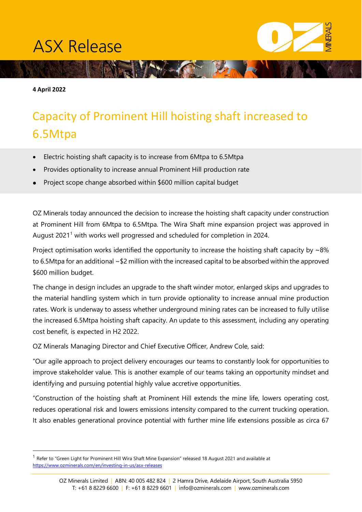## **ASX Release**

**4 April 2022** 

## Capacity of Prominent Hill hoisting shaft increased to 6.5Mtpa

NEW COUP

- Electric hoisting shaft capacity is to increase from 6Mtpa to 6.5Mtpa
- Provides optionality to increase annual Prominent Hill production rate
- Project scope change absorbed within \$600 million capital budget

OZ Minerals today announced the decision to increase the hoisting shaft capacity under construction at Prominent Hill from 6Mtpa to 6.5Mtpa. The Wira Shaft mine expansion project was approved in August 202[1](#page-0-0)<sup>1</sup> with works well progressed and scheduled for completion in 2024.

Project optimisation works identified the opportunity to increase the hoisting shaft capacity by  $\sim 8\%$ to 6.5Mtpa for an additional ~\$2 million with the increased capital to be absorbed within the approved \$600 million budget.

The change in design includes an upgrade to the shaft winder motor, enlarged skips and upgrades to the material handling system which in turn provide optionality to increase annual mine production rates. Work is underway to assess whether underground mining rates can be increased to fully utilise the increased 6.5Mtpa hoisting shaft capacity. An update to this assessment, including any operating cost benefit, is expected in H2 2022.

OZ Minerals Managing Director and Chief Executive Officer, Andrew Cole, said:

"Our agile approach to project delivery encourages our teams to constantly look for opportunities to improve stakeholder value. This is another example of our teams taking an opportunity mindset and identifying and pursuing potential highly value accretive opportunities.

"Construction of the hoisting shaft at Prominent Hill extends the mine life, lowers operating cost, reduces operational risk and lowers emissions intensity compared to the current trucking operation. It also enables generational province potential with further mine life extensions possible as circa 67

<span id="page-0-0"></span><sup>1</sup> Refer to "Green Light for Prominent Hill Wira Shaft Mine Expansion" released 18 August 2021 and available at <https://www.ozminerals.com/en/investing-in-us/asx-releases>